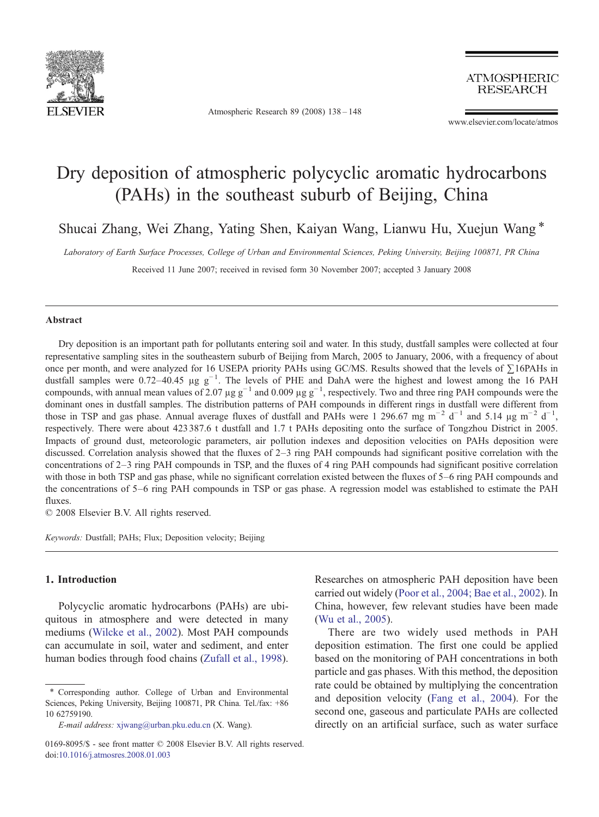

Atmospheric Research 89 (2008) 138–148

**ATMOSPHERIC RESEARCH** 

www.elsevier.com/locate/atmos

# Dry deposition of atmospheric polycyclic aromatic hydrocarbons (PAHs) in the southeast suburb of Beijing, China

Shucai Zhang, Wei Zhang, Yating Shen, Kaiyan Wang, Lianwu Hu, Xuejun Wang  $*$ 

Laboratory of Earth Surface Processes, College of Urban and Environmental Sciences, Peking University, Beijing 100871, PR China

Received 11 June 2007; received in revised form 30 November 2007; accepted 3 January 2008

#### **Abstract**

Dry deposition is an important path for pollutants entering soil and water. In this study, dustfall samples were collected at four representative sampling sites in the southeastern suburb of Beijing from March, 2005 to January, 2006, with a frequency of about once per month, and were analyzed for 16 USEPA priority PAHs using GC/MS. Results showed that the levels of ∑16PAHs in dustfall samples were 0.72–40.45 µg g−<sup>1</sup> . The levels of PHE and DahA were the highest and lowest among the 16 PAH compounds, with annual mean values of 2.07 µg  $g^{-1}$  and 0.009 µg  $g^{-1}$ , respectively. Two and three ring PAH compounds were the dominant ones in dustfall samples. The distribution patterns of PAH compounds in different rings in dustfall were different from those in TSP and gas phase. Annual average fluxes of dustfall and PAHs were 1 296.67 mg m<sup>-2</sup> d<sup>-1</sup> and 5.14 µg m<sup>-2</sup> d<sup>-1</sup>, respectively. There were about 423 387.6 t dustfall and 1.7 t PAHs depositing onto the surface of Tongzhou District in 2005. Impacts of ground dust, meteorologic parameters, air pollution indexes and deposition velocities on PAHs deposition were discussed. Correlation analysis showed that the fluxes of 2–3 ring PAH compounds had significant positive correlation with the concentrations of 2–3 ring PAH compounds in TSP, and the fluxes of 4 ring PAH compounds had significant positive correlation with those in both TSP and gas phase, while no significant correlation existed between the fluxes of 5–6 ring PAH compounds and the concentrations of 5–6 ring PAH compounds in TSP or gas phase. A regression model was established to estimate the PAH fluxes.

© 2008 Elsevier B.V. All rights reserved.

Keywords: Dustfall; PAHs; Flux; Deposition velocity; Beijing

# 1. Introduction

Polycyclic aromatic hydrocarbons (PAHs) are ubiquitous in atmosphere and were detected in many mediums ([Wilcke et al., 2002](#page-9-0)). Most PAH compounds can accumulate in soil, water and sediment, and enter human bodies through food chains [\(Zufall et al., 1998\)](#page-10-0).

Researches on atmospheric PAH deposition have been carried out widely [\(Poor et al., 2004; Bae et al., 2002](#page-9-0)). In China, however, few relevant studies have been made [\(Wu et al., 2005\)](#page-10-0).

There are two widely used methods in PAH deposition estimation. The first one could be applied based on the monitoring of PAH concentrations in both particle and gas phases. With this method, the deposition rate could be obtained by multiplying the concentration and deposition velocity ([Fang et al., 2004\)](#page-9-0). For the second one, gaseous and particulate PAHs are collected directly on an artificial surface, such as water surface

<sup>⁎</sup> Corresponding author. College of Urban and Environmental Sciences, Peking University, Beijing 100871, PR China. Tel./fax: +86 10 62759190.

E-mail address: [xjwang@urban.pku.edu.cn](mailto:xjwang@urban.pku.edu.cn) (X. Wang).

<sup>0169-8095/\$ -</sup> see front matter © 2008 Elsevier B.V. All rights reserved. doi[:10.1016/j.atmosres.2008.01.003](http://dx.doi.org/10.1016/j.atmosres.2008.01.003)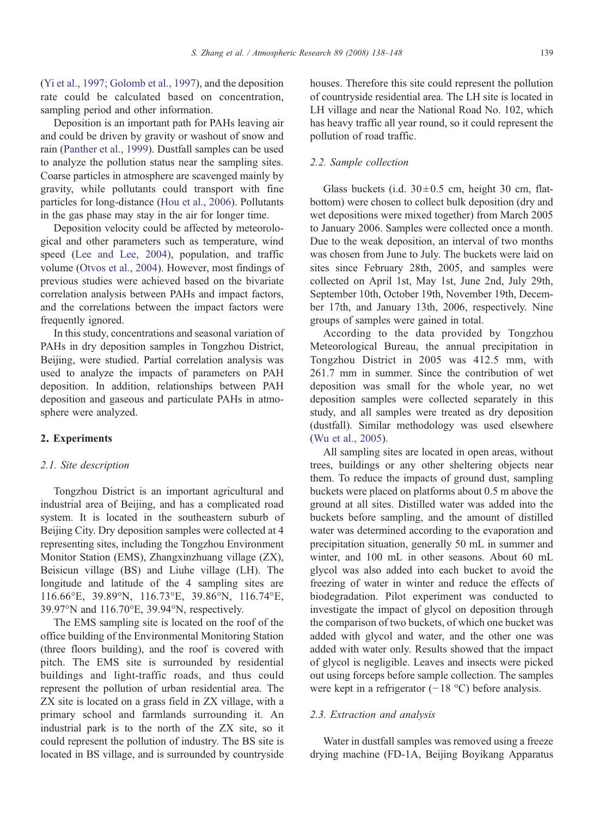[\(Yi et al., 1997; Golomb et al., 1997](#page-10-0)), and the deposition rate could be calculated based on concentration, sampling period and other information.

Deposition is an important path for PAHs leaving air and could be driven by gravity or washout of snow and rain ([Panther et al., 1999\)](#page-9-0). Dustfall samples can be used to analyze the pollution status near the sampling sites. Coarse particles in atmosphere are scavenged mainly by gravity, while pollutants could transport with fine particles for long-distance ([Hou et al., 2006](#page-9-0)). Pollutants in the gas phase may stay in the air for longer time.

Deposition velocity could be affected by meteorological and other parameters such as temperature, wind speed [\(Lee and Lee, 2004](#page-9-0)), population, and traffic volume [\(Otvos et al., 2004](#page-9-0)). However, most findings of previous studies were achieved based on the bivariate correlation analysis between PAHs and impact factors, and the correlations between the impact factors were frequently ignored.

In this study, concentrations and seasonal variation of PAHs in dry deposition samples in Tongzhou District, Beijing, were studied. Partial correlation analysis was used to analyze the impacts of parameters on PAH deposition. In addition, relationships between PAH deposition and gaseous and particulate PAHs in atmosphere were analyzed.

# 2. Experiments

#### 2.1. Site description

Tongzhou District is an important agricultural and industrial area of Beijing, and has a complicated road system. It is located in the southeastern suburb of Beijing City. Dry deposition samples were collected at 4 representing sites, including the Tongzhou Environment Monitor Station (EMS), Zhangxinzhuang village (ZX), Beisicun village (BS) and Liuhe village (LH). The longitude and latitude of the 4 sampling sites are 116.66°E, 39.89°N, 116.73°E, 39.86°N, 116.74°E, 39.97°N and 116.70°E, 39.94°N, respectively.

The EMS sampling site is located on the roof of the office building of the Environmental Monitoring Station (three floors building), and the roof is covered with pitch. The EMS site is surrounded by residential buildings and light-traffic roads, and thus could represent the pollution of urban residential area. The ZX site is located on a grass field in ZX village, with a primary school and farmlands surrounding it. An industrial park is to the north of the ZX site, so it could represent the pollution of industry. The BS site is located in BS village, and is surrounded by countryside houses. Therefore this site could represent the pollution of countryside residential area. The LH site is located in LH village and near the National Road No. 102, which has heavy traffic all year round, so it could represent the pollution of road traffic.

#### 2.2. Sample collection

Glass buckets (i.d.  $30 \pm 0.5$  cm, height 30 cm, flatbottom) were chosen to collect bulk deposition (dry and wet depositions were mixed together) from March 2005 to January 2006. Samples were collected once a month. Due to the weak deposition, an interval of two months was chosen from June to July. The buckets were laid on sites since February 28th, 2005, and samples were collected on April 1st, May 1st, June 2nd, July 29th, September 10th, October 19th, November 19th, December 17th, and January 13th, 2006, respectively. Nine groups of samples were gained in total.

According to the data provided by Tongzhou Meteorological Bureau, the annual precipitation in Tongzhou District in 2005 was 412.5 mm, with 261.7 mm in summer. Since the contribution of wet deposition was small for the whole year, no wet deposition samples were collected separately in this study, and all samples were treated as dry deposition (dustfall). Similar methodology was used elsewhere [\(Wu et al., 2005](#page-10-0)).

All sampling sites are located in open areas, without trees, buildings or any other sheltering objects near them. To reduce the impacts of ground dust, sampling buckets were placed on platforms about 0.5 m above the ground at all sites. Distilled water was added into the buckets before sampling, and the amount of distilled water was determined according to the evaporation and precipitation situation, generally 50 mL in summer and winter, and 100 mL in other seasons. About 60 mL glycol was also added into each bucket to avoid the freezing of water in winter and reduce the effects of biodegradation. Pilot experiment was conducted to investigate the impact of glycol on deposition through the comparison of two buckets, of which one bucket was added with glycol and water, and the other one was added with water only. Results showed that the impact of glycol is negligible. Leaves and insects were picked out using forceps before sample collection. The samples were kept in a refrigerator (−18 °C) before analysis.

# 2.3. Extraction and analysis

Water in dustfall samples was removed using a freeze drying machine (FD-1A, Beijing Boyikang Apparatus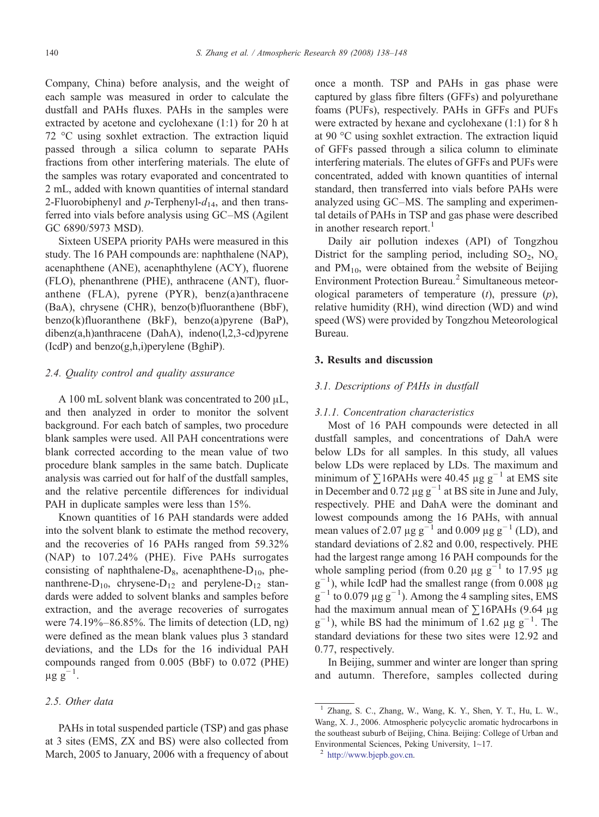Company, China) before analysis, and the weight of each sample was measured in order to calculate the dustfall and PAHs fluxes. PAHs in the samples were extracted by acetone and cyclohexane (1:1) for 20 h at 72 °C using soxhlet extraction. The extraction liquid passed through a silica column to separate PAHs fractions from other interfering materials. The elute of the samples was rotary evaporated and concentrated to 2 mL, added with known quantities of internal standard 2-Fluorobiphenyl and p-Terphenyl- $d_{14}$ , and then transferred into vials before analysis using GC–MS (Agilent GC 6890/5973 MSD).

Sixteen USEPA priority PAHs were measured in this study. The 16 PAH compounds are: naphthalene (NAP), acenaphthene (ANE), acenaphthylene (ACY), fluorene (FLO), phenanthrene (PHE), anthracene (ANT), fluoranthene (FLA), pyrene (PYR), benz(a)anthracene (BaA), chrysene (CHR), benzo(b)fluoranthene (BbF), benzo(k)fluoranthene (BkF), benzo(a)pyrene (BaP), dibenz(a,h)anthracene (DahA), indeno(l,2,3-cd)pyrene  $(IcdP)$  and benzo $(g,h,i)$  perylene  $(BghiP)$ .

#### 2.4. Quality control and quality assurance

A 100 mL solvent blank was concentrated to 200 μL, and then analyzed in order to monitor the solvent background. For each batch of samples, two procedure blank samples were used. All PAH concentrations were blank corrected according to the mean value of two procedure blank samples in the same batch. Duplicate analysis was carried out for half of the dustfall samples, and the relative percentile differences for individual PAH in duplicate samples were less than 15%.

Known quantities of 16 PAH standards were added into the solvent blank to estimate the method recovery, and the recoveries of 16 PAHs ranged from 59.32% (NAP) to 107.24% (PHE). Five PAHs surrogates consisting of naphthalene- $D_8$ , acenaphthene- $D_{10}$ , phenanthrene- $D_{10}$ , chrysene- $D_{12}$  and perylene- $D_{12}$  standards were added to solvent blanks and samples before extraction, and the average recoveries of surrogates were 74.19%–86.85%. The limits of detection (LD, ng) were defined as the mean blank values plus 3 standard deviations, and the LDs for the 16 individual PAH compounds ranged from 0.005 (BbF) to 0.072 (PHE)  $\mu$ g $g^{-1}$ .

#### 2.5. Other data

PAHs in total suspended particle (TSP) and gas phase at 3 sites (EMS, ZX and BS) were also collected from March, 2005 to January, 2006 with a frequency of about

once a month. TSP and PAHs in gas phase were captured by glass fibre filters (GFFs) and polyurethane foams (PUFs), respectively. PAHs in GFFs and PUFs were extracted by hexane and cyclohexane (1:1) for 8 h at 90 °C using soxhlet extraction. The extraction liquid of GFFs passed through a silica column to eliminate interfering materials. The elutes of GFFs and PUFs were concentrated, added with known quantities of internal standard, then transferred into vials before PAHs were analyzed using GC–MS. The sampling and experimental details of PAHs in TSP and gas phase were described in another research report.<sup>1</sup>

Daily air pollution indexes (API) of Tongzhou District for the sampling period, including  $SO_2$ ,  $NO<sub>x</sub>$ and  $PM_{10}$ , were obtained from the website of Beijing Environment Protection Bureau.<sup>2</sup> Simultaneous meteorological parameters of temperature  $(t)$ , pressure  $(p)$ , relative humidity (RH), wind direction (WD) and wind speed (WS) were provided by Tongzhou Meteorological Bureau.

# 3. Results and discussion

## 3.1. Descriptions of PAHs in dustfall

#### 3.1.1. Concentration characteristics

Most of 16 PAH compounds were detected in all dustfall samples, and concentrations of DahA were below LDs for all samples. In this study, all values below LDs were replaced by LDs. The maximum and minimum of  $\Sigma$ 16PAHs were 40.45 µg g<sup>-1</sup> at EMS site in December and 0.72  $\mu$ g g<sup>-1</sup> at BS site in June and July, respectively. PHE and DahA were the dominant and lowest compounds among the 16 PAHs, with annual mean values of 2.07 µg g<sup> $-1$ </sup> and 0.009 µg g<sup>-1</sup> (LD), and standard deviations of 2.82 and 0.00, respectively. PHE had the largest range among 16 PAH compounds for the whole sampling period (from 0.20  $\mu$ g g<sup>-1</sup> to 17.95  $\mu$ g g<sup>-1</sup>), while IcdP had the smallest range (from 0.008 µg  $g^{-1}$  to 0.079 µg  $g^{-1}$ ). Among the 4 sampling sites, EMS had the maximum annual mean of  $\Sigma$ 16PAHs (9.64 µg)  $g^{-1}$ ), while BS had the minimum of 1.62 µg  $g^{-1}$ . The standard deviations for these two sites were 12.92 and 0.77, respectively.

In Beijing, summer and winter are longer than spring and autumn. Therefore, samples collected during

 $1$  Zhang, S. C., Zhang, W., Wang, K. Y., Shen, Y. T., Hu, L. W., Wang, X. J., 2006. Atmospheric polycyclic aromatic hydrocarbons in the southeast suburb of Beijing, China. Beijing: College of Urban and Environmental Sciences, Peking University, 1~17.

<sup>2</sup> <http://www.bjepb.gov.cn>.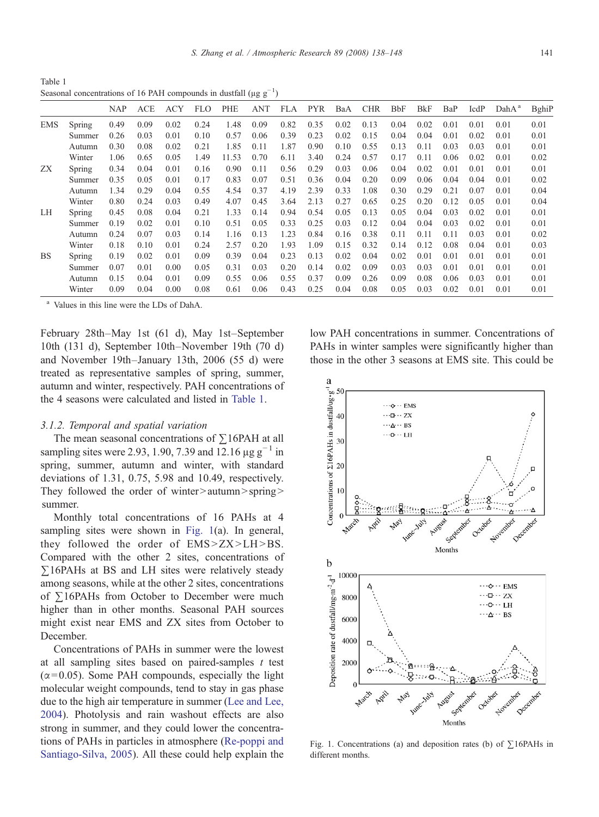S. Zhang et al. / Atmospheric Research 89 (2008) 138–148 141

<span id="page-3-0"></span>Table 1 Seasonal concentrations of 16 PAH compounds in dustfall ( $\mu$ g g<sup>-1</sup>)

|            |        | <b>NAP</b> | <b>ACE</b> | ACY  | FLO. | PHE   | ANT  | FLA  | <b>PYR</b> | BaA  | <b>CHR</b> | <b>BbF</b> | <b>B</b> kF | BaP  | IcdP | $DahA^a$ | BghiF |
|------------|--------|------------|------------|------|------|-------|------|------|------------|------|------------|------------|-------------|------|------|----------|-------|
| <b>EMS</b> | Spring | 0.49       | 0.09       | 0.02 | 0.24 | 1.48  | 0.09 | 0.82 | 0.35       | 0.02 | 0.13       | 0.04       | 0.02        | 0.01 | 0.01 | 0.01     | 0.01  |
|            | Summer | 0.26       | 0.03       | 0.01 | 0.10 | 0.57  | 0.06 | 0.39 | 0.23       | 0.02 | 0.15       | 0.04       | 0.04        | 0.01 | 0.02 | 0.01     | 0.01  |
|            | Autumn | 0.30       | 0.08       | 0.02 | 0.21 | 1.85  | 0.11 | 1.87 | 0.90       | 0.10 | 0.55       | 0.13       | 0.11        | 0.03 | 0.03 | 0.01     | 0.01  |
|            | Winter | 1.06       | 0.65       | 0.05 | 1.49 | 11.53 | 0.70 | 6.11 | 3.40       | 0.24 | 0.57       | 0.17       | 0.11        | 0.06 | 0.02 | 0.01     | 0.02  |
| ZX         | Spring | 0.34       | 0.04       | 0.01 | 0.16 | 0.90  | 0.11 | 0.56 | 0.29       | 0.03 | 0.06       | 0.04       | 0.02        | 0.01 | 0.01 | 0.01     | 0.01  |
|            | Summer | 0.35       | 0.05       | 0.01 | 0.17 | 0.83  | 0.07 | 0.51 | 0.36       | 0.04 | 0.20       | 0.09       | 0.06        | 0.04 | 0.04 | 0.01     | 0.02  |
|            | Autumn | 1.34       | 0.29       | 0.04 | 0.55 | 4.54  | 0.37 | 4.19 | 2.39       | 0.33 | 1.08       | 0.30       | 0.29        | 0.21 | 0.07 | 0.01     | 0.04  |
|            | Winter | 0.80       | 0.24       | 0.03 | 0.49 | 4.07  | 0.45 | 3.64 | 2.13       | 0.27 | 0.65       | 0.25       | 0.20        | 0.12 | 0.05 | 0.01     | 0.04  |
| LH         | Spring | 0.45       | 0.08       | 0.04 | 0.21 | 1.33  | 0.14 | 0.94 | 0.54       | 0.05 | 0.13       | 0.05       | 0.04        | 0.03 | 0.02 | 0.01     | 0.01  |
|            | Summer | 0.19       | 0.02       | 0.01 | 0.10 | 0.51  | 0.05 | 0.33 | 0.25       | 0.03 | 0.12       | 0.04       | 0.04        | 0.03 | 0.02 | 0.01     | 0.01  |
|            | Autumn | 0.24       | 0.07       | 0.03 | 0.14 | 1.16  | 0.13 | 1.23 | 0.84       | 0.16 | 0.38       | 0.11       | 0.11        | 0.11 | 0.03 | 0.01     | 0.02  |
|            | Winter | 0.18       | 0.10       | 0.01 | 0.24 | 2.57  | 0.20 | 1.93 | 1.09       | 0.15 | 0.32       | 0.14       | 0.12        | 0.08 | 0.04 | 0.01     | 0.03  |
| <b>BS</b>  | Spring | 0.19       | 0.02       | 0.01 | 0.09 | 0.39  | 0.04 | 0.23 | 0.13       | 0.02 | 0.04       | 0.02       | 0.01        | 0.01 | 0.01 | 0.01     | 0.01  |
|            | Summer | 0.07       | 0.01       | 0.00 | 0.05 | 0.31  | 0.03 | 0.20 | 0.14       | 0.02 | 0.09       | 0.03       | 0.03        | 0.01 | 0.01 | 0.01     | 0.01  |
|            | Autumn | 0.15       | 0.04       | 0.01 | 0.09 | 0.55  | 0.06 | 0.55 | 0.37       | 0.09 | 0.26       | 0.09       | 0.08        | 0.06 | 0.03 | 0.01     | 0.01  |
|            | Winter | 0.09       | 0.04       | 0.00 | 0.08 | 0.61  | 0.06 | 0.43 | 0.25       | 0.04 | 0.08       | 0.05       | 0.03        | 0.02 | 0.01 | 0.01     | 0.01  |
|            |        |            |            |      |      |       |      |      |            |      |            |            |             |      |      |          |       |

Values in this line were the LDs of DahA.

February 28th–May 1st (61 d), May 1st–September 10th (131 d), September 10th–November 19th (70 d) and November 19th–January 13th, 2006 (55 d) were treated as representative samples of spring, summer, autumn and winter, respectively. PAH concentrations of the 4 seasons were calculated and listed in Table 1.

#### 3.1.2. Temporal and spatial variation

The mean seasonal concentrations of ∑16PAH at all sampling sites were 2.93, 1.90, 7.39 and 12.16  $\mu$ g g<sup>-1</sup> in spring, summer, autumn and winter, with standard deviations of 1.31, 0.75, 5.98 and 10.49, respectively. They followed the order of winter $\ge$ autumn $\ge$ spring $\ge$ summer.

Monthly total concentrations of 16 PAHs at 4 sampling sites were shown in Fig. 1(a). In general, they followed the order of  $EMS > ZX > LH > BS$ . Compared with the other 2 sites, concentrations of ∑16PAHs at BS and LH sites were relatively steady among seasons, while at the other 2 sites, concentrations of ∑16PAHs from October to December were much higher than in other months. Seasonal PAH sources might exist near EMS and ZX sites from October to December.

Concentrations of PAHs in summer were the lowest at all sampling sites based on paired-samples  $t$  test  $(\alpha = 0.05)$ . Some PAH compounds, especially the light molecular weight compounds, tend to stay in gas phase due to the high air temperature in summer [\(Lee and Lee,](#page-9-0) [2004\)](#page-9-0). Photolysis and rain washout effects are also strong in summer, and they could lower the concentrations of PAHs in particles in atmosphere ([Re-poppi and](#page-9-0) [Santiago-Silva, 2005\)](#page-9-0). All these could help explain the

low PAH concentrations in summer. Concentrations of PAHs in winter samples were significantly higher than those in the other 3 seasons at EMS site. This could be



Fig. 1. Concentrations (a) and deposition rates (b) of ∑16PAHs in different months.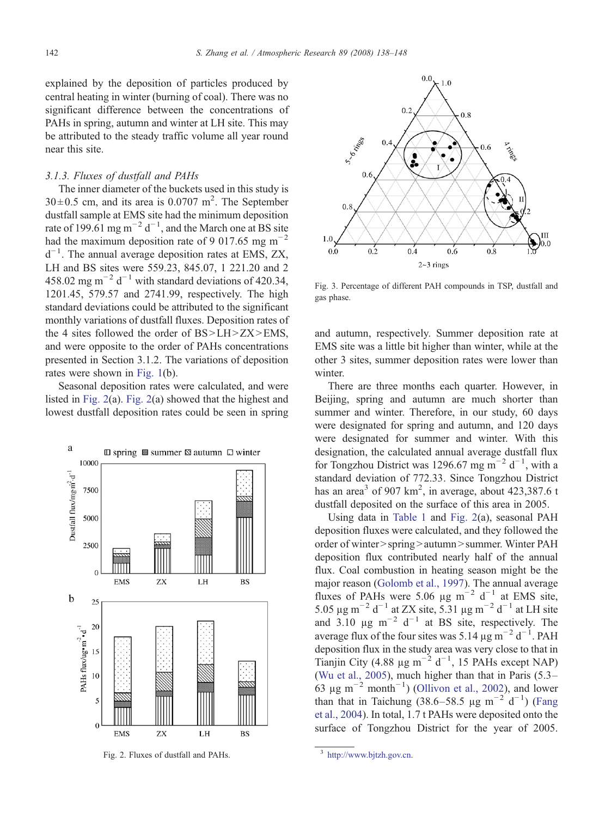<span id="page-4-0"></span>explained by the deposition of particles produced by central heating in winter (burning of coal). There was no significant difference between the concentrations of PAHs in spring, autumn and winter at LH site. This may be attributed to the steady traffic volume all year round near this site.

## 3.1.3. Fluxes of dustfall and PAHs

The inner diameter of the buckets used in this study is  $30 \pm 0.5$  cm, and its area is 0.0707 m<sup>2</sup>. The September dustfall sample at EMS site had the minimum deposition rate of 199.61 mg m<sup>-2</sup> d<sup>-1</sup>, and the March one at BS site had the maximum deposition rate of 9 017.65 mg m<sup>-2</sup> d−<sup>1</sup> . The annual average deposition rates at EMS, ZX, LH and BS sites were 559.23, 845.07, 1 221.20 and 2 458.02 mg m<sup>-2</sup> d<sup>-1</sup> with standard deviations of 420.34, 1201.45, 579.57 and 2741.99, respectively. The high standard deviations could be attributed to the significant monthly variations of dustfall fluxes. Deposition rates of the 4 sites followed the order of  $BS>LH>ZX>EMS,$ and were opposite to the order of PAHs concentrations presented in Section 3.1.2. The variations of deposition rates were shown in [Fig. 1](#page-3-0)(b).

Seasonal deposition rates were calculated, and were listed in Fig. 2(a). Fig. 2(a) showed that the highest and lowest dustfall deposition rates could be seen in spring







Fig. 3. Percentage of different PAH compounds in TSP, dustfall and gas phase.

and autumn, respectively. Summer deposition rate at EMS site was a little bit higher than winter, while at the other 3 sites, summer deposition rates were lower than winter.

There are three months each quarter. However, in Beijing, spring and autumn are much shorter than summer and winter. Therefore, in our study, 60 days were designated for spring and autumn, and 120 days were designated for summer and winter. With this designation, the calculated annual average dustfall flux for Tongzhou District was 1296.67 mg m<sup>-2</sup> d<sup>-1</sup>, with a standard deviation of 772.33. Since Tongzhou District has an area<sup>3</sup> of 907 km<sup>2</sup>, in average, about 423,387.6 t dustfall deposited on the surface of this area in 2005.

Using data in [Table 1](#page-3-0) and Fig. 2(a), seasonal PAH deposition fluxes were calculated, and they followed the order of winter > spring > autumn > summer. Winter PAH deposition flux contributed nearly half of the annual flux. Coal combustion in heating season might be the major reason [\(Golomb et al., 1997\)](#page-9-0). The annual average fluxes of PAHs were 5.06 µg m<sup>-2</sup> d<sup>-1</sup> at EMS site, 5.05 μg m<sup>-2</sup> d<sup>-1</sup> at ZX site, 5.31 μg m<sup>-2</sup> d<sup>-1</sup> at LH site and 3.10  $\mu$ g m<sup>-2</sup> d<sup>-1</sup> at BS site, respectively. The average flux of the four sites was 5.14  $\mu$ g m<sup>-2</sup> d<sup>-1</sup>. PAH deposition flux in the study area was very close to that in Tianjin City (4.88 µg m<sup>-2</sup> d<sup>-1</sup>, 15 PAHs except NAP) [\(Wu et al., 2005\)](#page-10-0), much higher than that in Paris (5.3– 63 µg m<sup>-2</sup> month<sup>-1</sup>) ([Ollivon et al., 2002](#page-9-0)), and lower than that in Taichung (38.6–58.5 µg m<sup>-2</sup> d<sup>-1</sup>) ([Fang](#page-9-0) [et al., 2004\)](#page-9-0). In total, 1.7 t PAHs were deposited onto the surface of Tongzhou District for the year of 2005.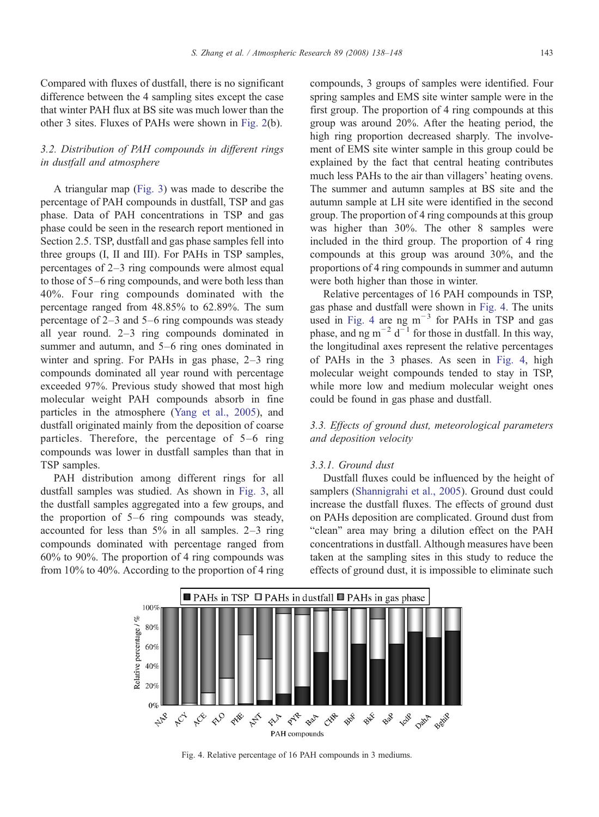Compared with fluxes of dustfall, there is no significant difference between the 4 sampling sites except the case that winter PAH flux at BS site was much lower than the other 3 sites. Fluxes of PAHs were shown in [Fig. 2\(](#page-4-0)b).

# 3.2. Distribution of PAH compounds in different rings in dustfall and atmosphere

A triangular map ([Fig. 3\)](#page-4-0) was made to describe the percentage of PAH compounds in dustfall, TSP and gas phase. Data of PAH concentrations in TSP and gas phase could be seen in the research report mentioned in Section 2.5. TSP, dustfall and gas phase samples fell into three groups (I, II and III). For PAHs in TSP samples, percentages of 2–3 ring compounds were almost equal to those of 5–6 ring compounds, and were both less than 40%. Four ring compounds dominated with the percentage ranged from 48.85% to 62.89%. The sum percentage of 2–3 and 5–6 ring compounds was steady all year round. 2–3 ring compounds dominated in summer and autumn, and 5–6 ring ones dominated in winter and spring. For PAHs in gas phase, 2–3 ring compounds dominated all year round with percentage exceeded 97%. Previous study showed that most high molecular weight PAH compounds absorb in fine particles in the atmosphere [\(Yang et al., 2005](#page-10-0)), and dustfall originated mainly from the deposition of coarse particles. Therefore, the percentage of 5–6 ring compounds was lower in dustfall samples than that in TSP samples.

PAH distribution among different rings for all dustfall samples was studied. As shown in [Fig. 3,](#page-4-0) all the dustfall samples aggregated into a few groups, and the proportion of 5–6 ring compounds was steady, accounted for less than 5% in all samples. 2–3 ring compounds dominated with percentage ranged from 60% to 90%. The proportion of 4 ring compounds was from 10% to 40%. According to the proportion of 4 ring compounds, 3 groups of samples were identified. Four spring samples and EMS site winter sample were in the first group. The proportion of 4 ring compounds at this group was around 20%. After the heating period, the high ring proportion decreased sharply. The involvement of EMS site winter sample in this group could be explained by the fact that central heating contributes much less PAHs to the air than villagers' heating ovens. The summer and autumn samples at BS site and the autumn sample at LH site were identified in the second group. The proportion of 4 ring compounds at this group was higher than 30%. The other 8 samples were included in the third group. The proportion of 4 ring compounds at this group was around 30%, and the proportions of 4 ring compounds in summer and autumn were both higher than those in winter.

Relative percentages of 16 PAH compounds in TSP, gas phase and dustfall were shown in Fig. 4. The units used in Fig. 4 are ng m−<sup>3</sup> for PAHs in TSP and gas phase, and ng m<sup>-2</sup> d<sup>-1</sup> for those in dustfall. In this way, the longitudinal axes represent the relative percentages of PAHs in the 3 phases. As seen in Fig. 4, high molecular weight compounds tended to stay in TSP, while more low and medium molecular weight ones could be found in gas phase and dustfall.

# 3.3. Effects of ground dust, meteorological parameters and deposition velocity

#### 3.3.1. Ground dust

Dustfall fluxes could be influenced by the height of samplers [\(Shannigrahi et al., 2005](#page-9-0)). Ground dust could increase the dustfall fluxes. The effects of ground dust on PAHs deposition are complicated. Ground dust from "clean" area may bring a dilution effect on the PAH concentrations in dustfall. Although measures have been taken at the sampling sites in this study to reduce the effects of ground dust, it is impossible to eliminate such

Fig. 4. Relative percentage of 16 PAH compounds in 3 mediums.

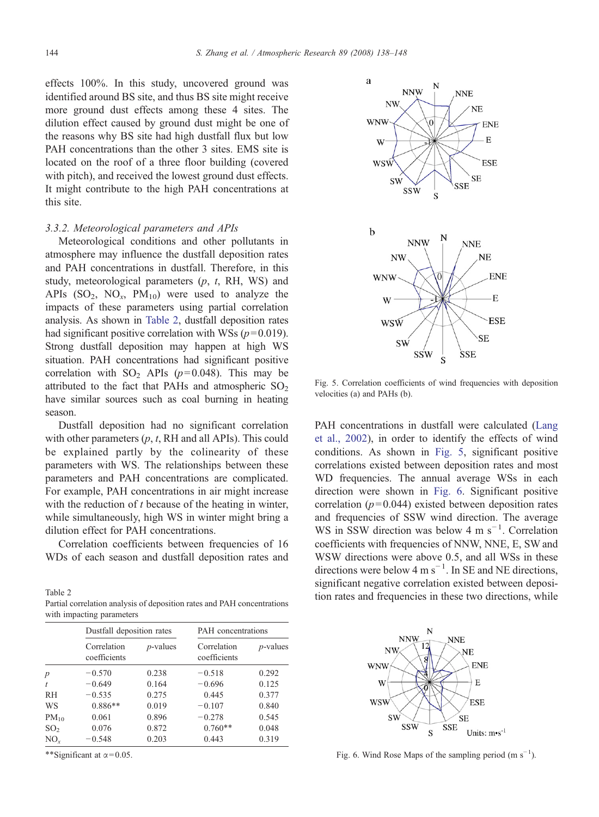effects 100%. In this study, uncovered ground was identified around BS site, and thus BS site might receive more ground dust effects among these 4 sites. The dilution effect caused by ground dust might be one of the reasons why BS site had high dustfall flux but low PAH concentrations than the other 3 sites. EMS site is located on the roof of a three floor building (covered with pitch), and received the lowest ground dust effects. It might contribute to the high PAH concentrations at this site.

## 3.3.2. Meteorological parameters and APIs

Meteorological conditions and other pollutants in atmosphere may influence the dustfall deposition rates and PAH concentrations in dustfall. Therefore, in this study, meteorological parameters  $(p, t, RH, WS)$  and APIs  $(SO_2, NO_x, PM_{10})$  were used to analyze the impacts of these parameters using partial correlation analysis. As shown in Table 2, dustfall deposition rates had significant positive correlation with WSs ( $p = 0.019$ ). Strong dustfall deposition may happen at high WS situation. PAH concentrations had significant positive correlation with  $SO_2$  APIs ( $p=0.048$ ). This may be attributed to the fact that PAHs and atmospheric  $SO<sub>2</sub>$ have similar sources such as coal burning in heating season.

Dustfall deposition had no significant correlation with other parameters  $(p, t, RH$  and all APIs). This could be explained partly by the colinearity of these parameters with WS. The relationships between these parameters and PAH concentrations are complicated. For example, PAH concentrations in air might increase with the reduction of  $t$  because of the heating in winter, while simultaneously, high WS in winter might bring a dilution effect for PAH concentrations.

Correlation coefficients between frequencies of 16 WDs of each season and dustfall deposition rates and

Partial correlation analysis of deposition rates and PAH concentrations with impacting parameters

|                  | Dustfall deposition rates   |             | PAH concentrations          |             |  |  |  |
|------------------|-----------------------------|-------------|-----------------------------|-------------|--|--|--|
|                  | Correlation<br>coefficients | $p$ -values | Correlation<br>coefficients | $p$ -values |  |  |  |
| $\boldsymbol{p}$ | $-0.570$                    | 0.238       | $-0.518$                    | 0.292       |  |  |  |
| t                | $-0.649$                    | 0.164       | $-0.696$                    | 0.125       |  |  |  |
| <b>RH</b>        | $-0.535$                    | 0.275       | 0.445                       | 0.377       |  |  |  |
| WS               | $0.886**$                   | 0.019       | $-0.107$                    | 0.840       |  |  |  |
| $PM_{10}$        | 0.061                       | 0.896       | $-0.278$                    | 0.545       |  |  |  |
| SO <sub>2</sub>  | 0.076                       | 0.872       | $0.760**$                   | 0.048       |  |  |  |
| $NO_r$           | $-0.548$                    | 0.203       | 0.443                       | 0.319       |  |  |  |

\*\*Significant at  $\alpha$  = 0.05.



Fig. 5. Correlation coefficients of wind frequencies with deposition velocities (a) and PAHs (b).

PAH concentrations in dustfall were calculated [\(Lang](#page-9-0) [et al., 2002\)](#page-9-0), in order to identify the effects of wind conditions. As shown in Fig. 5, significant positive correlations existed between deposition rates and most WD frequencies. The annual average WSs in each direction were shown in Fig. 6. Significant positive correlation ( $p = 0.044$ ) existed between deposition rates and frequencies of SSW wind direction. The average WS in SSW direction was below 4 m s<sup>-1</sup>. Correlation coefficients with frequencies of NNW, NNE, E, SW and WSW directions were above 0.5, and all WSs in these directions were below 4 m  $s^{-1}$ . In SE and NE directions, significant negative correlation existed between deposi-Table 2 tion rates and frequencies in these two directions, while



Fig. 6. Wind Rose Maps of the sampling period  $(m s<sup>-1</sup>)$ .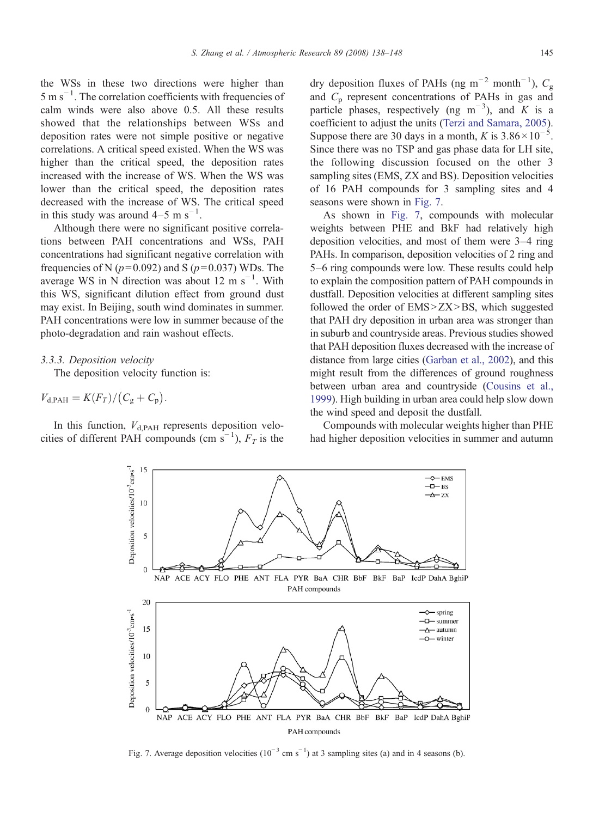the WSs in these two directions were higher than  $5 \text{ m s}^{-1}$ . The correlation coefficients with frequencies of calm winds were also above 0.5. All these results showed that the relationships between WSs and deposition rates were not simple positive or negative correlations. A critical speed existed. When the WS was higher than the critical speed, the deposition rates increased with the increase of WS. When the WS was lower than the critical speed, the deposition rates decreased with the increase of WS. The critical speed in this study was around  $4-5$  m s<sup>-1</sup>.

Although there were no significant positive correlations between PAH concentrations and WSs, PAH concentrations had significant negative correlation with frequencies of N ( $p=0.092$ ) and S ( $p=0.037$ ) WDs. The average WS in N direction was about 12 m s<sup> $-1$ </sup>. With this WS, significant dilution effect from ground dust may exist. In Beijing, south wind dominates in summer. PAH concentrations were low in summer because of the photo-degradation and rain washout effects.

## 3.3.3. Deposition velocity

The deposition velocity function is:

$$
V_{\rm d,PAH} = K(F_T)/(C_{\rm g}+C_{\rm p}).
$$

In this function,  $V_{d,PAH}$  represents deposition velocities of different PAH compounds (cm  $\bar{s}^{-1}$ ),  $F_T$  is the

dry deposition fluxes of PAHs (ng m<sup>-2</sup> month<sup>-1</sup>),  $C_g$ and  $C_p$  represent concentrations of PAHs in gas and particle phases, respectively (ng m<sup>-3</sup>), and K is a coefficient to adjust the units ([Terzi and Samara, 2005](#page-9-0)). Suppose there are 30 days in a month, K is  $3.86 \times 10^{-5}$ . Since there was no TSP and gas phase data for LH site, the following discussion focused on the other 3 sampling sites (EMS, ZX and BS). Deposition velocities of 16 PAH compounds for 3 sampling sites and 4 seasons were shown in Fig. 7.

As shown in Fig. 7, compounds with molecular weights between PHE and BkF had relatively high deposition velocities, and most of them were 3–4 ring PAHs. In comparison, deposition velocities of 2 ring and 5–6 ring compounds were low. These results could help to explain the composition pattern of PAH compounds in dustfall. Deposition velocities at different sampling sites followed the order of  $EMS > ZX > BS$ , which suggested that PAH dry deposition in urban area was stronger than in suburb and countryside areas. Previous studies showed that PAH deposition fluxes decreased with the increase of distance from large cities [\(Garban et al., 2002](#page-9-0)), and this might result from the differences of ground roughness between urban area and countryside [\(Cousins et al.,](#page-9-0) [1999\)](#page-9-0). High building in urban area could help slow down the wind speed and deposit the dustfall.

Compounds with molecular weights higher than PHE had higher deposition velocities in summer and autumn



Fig. 7. Average deposition velocities  $(10^{-3} \text{ cm s}^{-1})$  at 3 sampling sites (a) and in 4 seasons (b).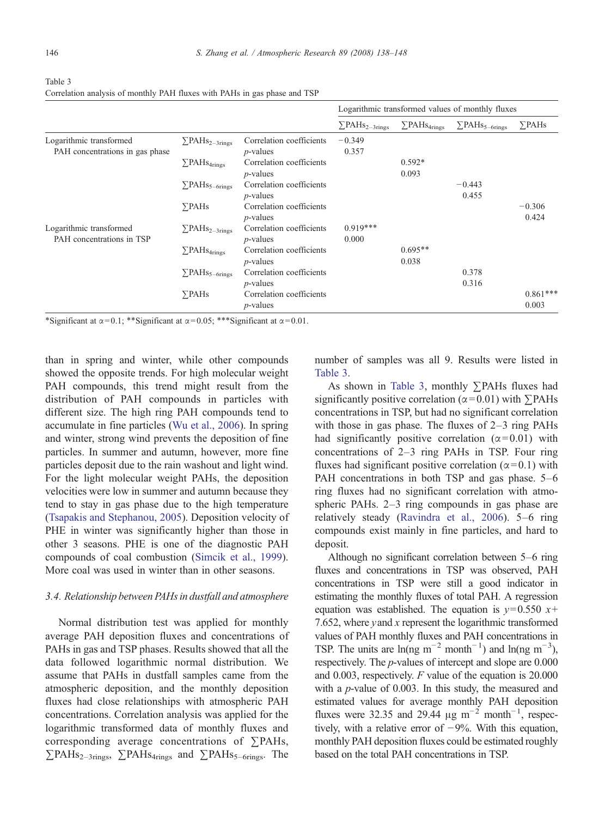|                                                            |                                   |                                         | Logarithmic transformed values of monthly fluxes |                               |                                 |                     |  |  |
|------------------------------------------------------------|-----------------------------------|-----------------------------------------|--------------------------------------------------|-------------------------------|---------------------------------|---------------------|--|--|
|                                                            |                                   |                                         | $\Sigma$ PAHs <sub>2-3rings</sub>                | $\sum$ PAH <sub>S4rings</sub> | $\sum$ PAHs <sub>5–6rings</sub> | $\Sigma$ PAHs       |  |  |
| Logarithmic transformed<br>PAH concentrations in gas phase | $\Sigma$ PAHs <sub>2-3rings</sub> | Correlation coefficients<br>$p$ -values | $-0.349$<br>0.357                                |                               |                                 |                     |  |  |
|                                                            | $\Sigma$ PAHs <sub>4rings</sub>   | Correlation coefficients<br>$p$ -values |                                                  | $0.592*$<br>0.093             |                                 |                     |  |  |
|                                                            | $\Sigma$ PAHs <sub>5-6rings</sub> | Correlation coefficients<br>$p$ -values |                                                  |                               | $-0.443$<br>0.455               |                     |  |  |
|                                                            | $\Sigma$ PAHs                     | Correlation coefficients<br>$p$ -values |                                                  |                               |                                 | $-0.306$<br>0.424   |  |  |
| Logarithmic transformed<br>PAH concentrations in TSP       | $\Sigma$ PAHs <sub>2-3rings</sub> | Correlation coefficients<br>$p$ -values | $0.919***$<br>0.000                              |                               |                                 |                     |  |  |
|                                                            | $\Sigma$ PAHs <sub>4rings</sub>   | Correlation coefficients<br>$p$ -values |                                                  | $0.695**$<br>0.038            |                                 |                     |  |  |
|                                                            | $\Sigma$ PAHs <sub>5-6rings</sub> | Correlation coefficients<br>$p$ -values |                                                  |                               | 0.378<br>0.316                  |                     |  |  |
|                                                            | $\Sigma$ PAHs                     | Correlation coefficients<br>$p$ -values |                                                  |                               |                                 | $0.861***$<br>0.003 |  |  |

Table 3 Correlation analysis of monthly PAH fluxes with PAHs in gas phase and TSP

\*Significant at  $\alpha = 0.1$ ; \*\*Significant at  $\alpha = 0.05$ ; \*\*\*Significant at  $\alpha = 0.01$ .

than in spring and winter, while other compounds showed the opposite trends. For high molecular weight PAH compounds, this trend might result from the distribution of PAH compounds in particles with different size. The high ring PAH compounds tend to accumulate in fine particles ([Wu et al., 2006](#page-10-0)). In spring and winter, strong wind prevents the deposition of fine particles. In summer and autumn, however, more fine particles deposit due to the rain washout and light wind. For the light molecular weight PAHs, the deposition velocities were low in summer and autumn because they tend to stay in gas phase due to the high temperature [\(Tsapakis and Stephanou, 2005](#page-9-0)). Deposition velocity of PHE in winter was significantly higher than those in other 3 seasons. PHE is one of the diagnostic PAH compounds of coal combustion [\(Simcik et al., 1999\)](#page-9-0). More coal was used in winter than in other seasons.

## 3.4. Relationship between PAHs in dustfall and atmosphere

Normal distribution test was applied for monthly average PAH deposition fluxes and concentrations of PAHs in gas and TSP phases. Results showed that all the data followed logarithmic normal distribution. We assume that PAHs in dustfall samples came from the atmospheric deposition, and the monthly deposition fluxes had close relationships with atmospheric PAH concentrations. Correlation analysis was applied for the logarithmic transformed data of monthly fluxes and corresponding average concentrations of ∑PAHs,  $\sum$ PAHs<sub>2–3rings</sub>,  $\sum$ PAHs<sub>4rings</sub> and  $\sum$ PAHs<sub>5–6rings</sub>. The

number of samples was all 9. Results were listed in Table 3.

As shown in Table 3, monthly ∑PAHs fluxes had significantly positive correlation ( $\alpha$ =0.01) with ∑PAHs concentrations in TSP, but had no significant correlation with those in gas phase. The fluxes of 2–3 ring PAHs had significantly positive correlation  $(\alpha = 0.01)$  with concentrations of 2–3 ring PAHs in TSP. Four ring fluxes had significant positive correlation ( $\alpha$ =0.1) with PAH concentrations in both TSP and gas phase. 5–6 ring fluxes had no significant correlation with atmospheric PAHs. 2–3 ring compounds in gas phase are relatively steady [\(Ravindra et al., 2006\)](#page-9-0). 5–6 ring compounds exist mainly in fine particles, and hard to deposit.

Although no significant correlation between 5–6 ring fluxes and concentrations in TSP was observed, PAH concentrations in TSP were still a good indicator in estimating the monthly fluxes of total PAH. A regression equation was established. The equation is  $y=0.550 x+$ 7.652, where  $y$  and  $x$  represent the logarithmic transformed values of PAH monthly fluxes and PAH concentrations in TSP. The units are  $ln(np \ m^{-2} \ month^{-1})$  and  $ln(np \ m^{-3})$ , respectively. The p-values of intercept and slope are 0.000 and 0.003, respectively. F value of the equation is 20.000 with a  $p$ -value of 0.003. In this study, the measured and estimated values for average monthly PAH deposition fluxes were 32.35 and 29.44  $\mu$ g m<sup>-2</sup> month<sup>-1</sup>, respectively, with a relative error of −9%. With this equation, monthly PAH deposition fluxes could be estimated roughly based on the total PAH concentrations in TSP.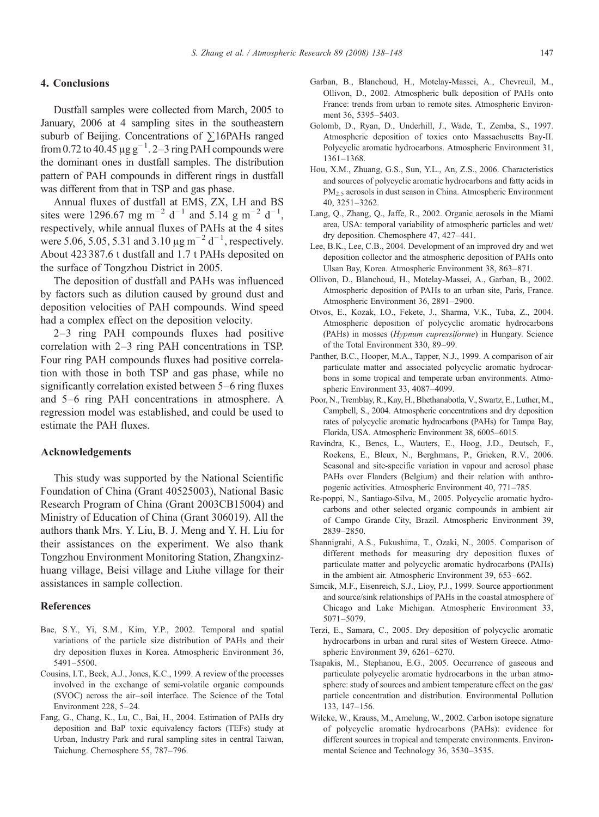### <span id="page-9-0"></span>4. Conclusions

Dustfall samples were collected from March, 2005 to January, 2006 at 4 sampling sites in the southeastern suburb of Beijing. Concentrations of ∑16PAHs ranged from 0.72 to 40.45 µg g<sup>-1</sup>.2–3 ring PAH compounds were the dominant ones in dustfall samples. The distribution pattern of PAH compounds in different rings in dustfall was different from that in TSP and gas phase.

Annual fluxes of dustfall at EMS, ZX, LH and BS sites were 1296.67 mg m<sup>-2</sup> d<sup>-1</sup> and 5.14 g m<sup>-2</sup> d<sup>-1</sup>, respectively, while annual fluxes of PAHs at the 4 sites were 5.06, 5.05, 5.31 and 3.10  $\mu$ g m<sup>-2</sup> d<sup>-1</sup>, respectively. About 423 387.6 t dustfall and 1.7 t PAHs deposited on the surface of Tongzhou District in 2005.

The deposition of dustfall and PAHs was influenced by factors such as dilution caused by ground dust and deposition velocities of PAH compounds. Wind speed had a complex effect on the deposition velocity.

2–3 ring PAH compounds fluxes had positive correlation with 2–3 ring PAH concentrations in TSP. Four ring PAH compounds fluxes had positive correlation with those in both TSP and gas phase, while no significantly correlation existed between 5–6 ring fluxes and 5–6 ring PAH concentrations in atmosphere. A regression model was established, and could be used to estimate the PAH fluxes.

#### Acknowledgements

This study was supported by the National Scientific Foundation of China (Grant 40525003), National Basic Research Program of China (Grant 2003CB15004) and Ministry of Education of China (Grant 306019). All the authors thank Mrs. Y. Liu, B. J. Meng and Y. H. Liu for their assistances on the experiment. We also thank Tongzhou Environment Monitoring Station, Zhangxinzhuang village, Beisi village and Liuhe village for their assistances in sample collection.

#### References

- Bae, S.Y., Yi, S.M., Kim, Y.P., 2002. Temporal and spatial variations of the particle size distribution of PAHs and their dry deposition fluxes in Korea. Atmospheric Environment 36, 5491–5500.
- Cousins, I.T., Beck, A.J., Jones, K.C., 1999. A review of the processes involved in the exchange of semi-volatile organic compounds (SVOC) across the air–soil interface. The Science of the Total Environment 228, 5–24.
- Fang, G., Chang, K., Lu, C., Bai, H., 2004. Estimation of PAHs dry deposition and BaP toxic equivalency factors (TEFs) study at Urban, Industry Park and rural sampling sites in central Taiwan, Taichung. Chemosphere 55, 787–796.
- Garban, B., Blanchoud, H., Motelay-Massei, A., Chevreuil, M., Ollivon, D., 2002. Atmospheric bulk deposition of PAHs onto France: trends from urban to remote sites. Atmospheric Environment 36, 5395–5403.
- Golomb, D., Ryan, D., Underhill, J., Wade, T., Zemba, S., 1997. Atmospheric deposition of toxics onto Massachusetts Bay-II. Polycyclic aromatic hydrocarbons. Atmospheric Environment 31, 1361–1368.
- Hou, X.M., Zhuang, G.S., Sun, Y.L., An, Z.S., 2006. Characteristics and sources of polycyclic aromatic hydrocarbons and fatty acids in PM<sub>2.5</sub> aerosols in dust season in China. Atmospheric Environment 40, 3251–3262.
- Lang, Q., Zhang, Q., Jaffe, R., 2002. Organic aerosols in the Miami area, USA: temporal variability of atmospheric particles and wet/ dry deposition. Chemosphere 47, 427–441.
- Lee, B.K., Lee, C.B., 2004. Development of an improved dry and wet deposition collector and the atmospheric deposition of PAHs onto Ulsan Bay, Korea. Atmospheric Environment 38, 863–871.
- Ollivon, D., Blanchoud, H., Motelay-Massei, A., Garban, B., 2002. Atmospheric deposition of PAHs to an urban site, Paris, France. Atmospheric Environment 36, 2891–2900.
- Otvos, E., Kozak, I.O., Fekete, J., Sharma, V.K., Tuba, Z., 2004. Atmospheric deposition of polycyclic aromatic hydrocarbons (PAHs) in mosses (Hypnum cupressiforme) in Hungary. Science of the Total Environment 330, 89–99.
- Panther, B.C., Hooper, M.A., Tapper, N.J., 1999. A comparison of air particulate matter and associated polycyclic aromatic hydrocarbons in some tropical and temperate urban environments. Atmospheric Environment 33, 4087–4099.
- Poor, N., Tremblay, R., Kay, H., Bhethanabotla, V., Swartz, E., Luther, M., Campbell, S., 2004. Atmospheric concentrations and dry deposition rates of polycyclic aromatic hydrocarbons (PAHs) for Tampa Bay, Florida, USA. Atmospheric Environment 38, 6005–6015.
- Ravindra, K., Bencs, L., Wauters, E., Hoog, J.D., Deutsch, F., Roekens, E., Bleux, N., Berghmans, P., Grieken, R.V., 2006. Seasonal and site-specific variation in vapour and aerosol phase PAHs over Flanders (Belgium) and their relation with anthropogenic activities. Atmospheric Environment 40, 771–785.
- Re-poppi, N., Santiago-Silva, M., 2005. Polycyclic aromatic hydrocarbons and other selected organic compounds in ambient air of Campo Grande City, Brazil. Atmospheric Environment 39, 2839–2850.
- Shannigrahi, A.S., Fukushima, T., Ozaki, N., 2005. Comparison of different methods for measuring dry deposition fluxes of particulate matter and polycyclic aromatic hydrocarbons (PAHs) in the ambient air. Atmospheric Environment 39, 653–662.
- Simcik, M.F., Eisenreich, S.J., Lioy, P.J., 1999. Source apportionment and source/sink relationships of PAHs in the coastal atmosphere of Chicago and Lake Michigan. Atmospheric Environment 33, 5071–5079.
- Terzi, E., Samara, C., 2005. Dry deposition of polycyclic aromatic hydrocarbons in urban and rural sites of Western Greece. Atmospheric Environment 39, 6261–6270.
- Tsapakis, M., Stephanou, E.G., 2005. Occurrence of gaseous and particulate polycyclic aromatic hydrocarbons in the urban atmosphere: study of sources and ambient temperature effect on the gas/ particle concentration and distribution. Environmental Pollution 133, 147–156.
- Wilcke, W., Krauss, M., Amelung, W., 2002. Carbon isotope signature of polycyclic aromatic hydrocarbons (PAHs): evidence for different sources in tropical and temperate environments. Environmental Science and Technology 36, 3530–3535.